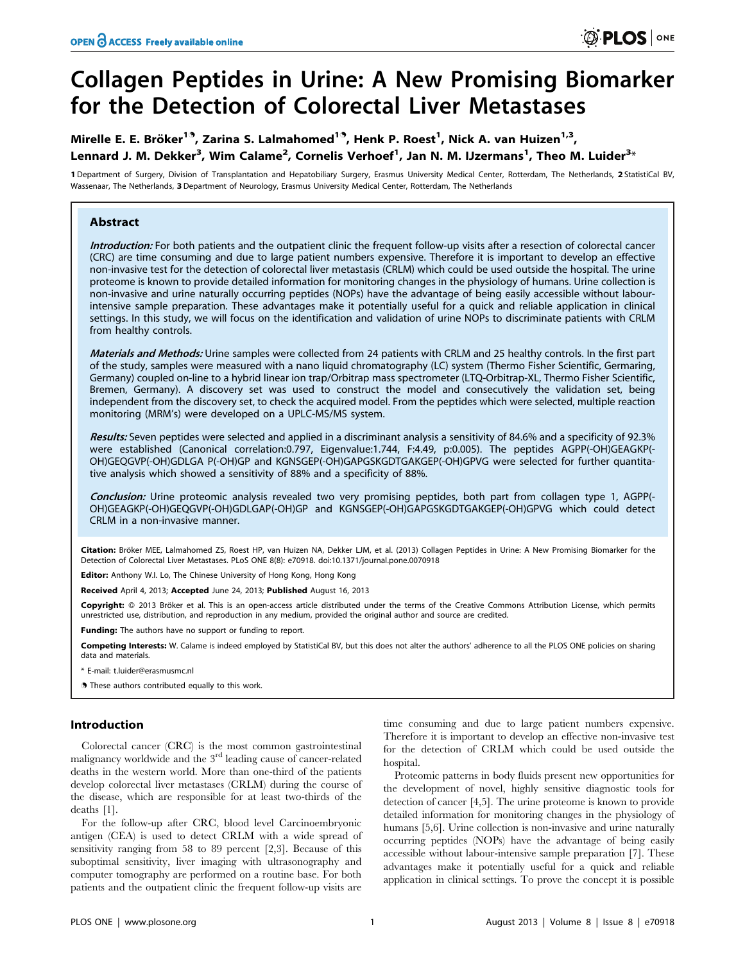# Collagen Peptides in Urine: A New Promising Biomarker for the Detection of Colorectal Liver Metastases

## Mirelle E. E. Bröker<sup>1.9</sup>, Zarina S. Lalmahomed<sup>1.9</sup>, Henk P. Roest<sup>1</sup>, Nick A. van Huizen<sup>1,3</sup>, Lennard J. M. Dekker<sup>3</sup>, Wim Calame<sup>2</sup>, Cornelis Verhoef<sup>1</sup>, Jan N. M. IJzermans<sup>1</sup>, Theo M. Luider<sup>3</sup>\*

1 Department of Surgery, Division of Transplantation and Hepatobiliary Surgery, Erasmus University Medical Center, Rotterdam, The Netherlands, 2 StatistiCal BV, Wassenaar, The Netherlands, 3 Department of Neurology, Erasmus University Medical Center, Rotterdam, The Netherlands

## Abstract

Introduction: For both patients and the outpatient clinic the frequent follow-up visits after a resection of colorectal cancer (CRC) are time consuming and due to large patient numbers expensive. Therefore it is important to develop an effective non-invasive test for the detection of colorectal liver metastasis (CRLM) which could be used outside the hospital. The urine proteome is known to provide detailed information for monitoring changes in the physiology of humans. Urine collection is non-invasive and urine naturally occurring peptides (NOPs) have the advantage of being easily accessible without labourintensive sample preparation. These advantages make it potentially useful for a quick and reliable application in clinical settings. In this study, we will focus on the identification and validation of urine NOPs to discriminate patients with CRLM from healthy controls.

Materials and Methods: Urine samples were collected from 24 patients with CRLM and 25 healthy controls. In the first part of the study, samples were measured with a nano liquid chromatography (LC) system (Thermo Fisher Scientific, Germaring, Germany) coupled on-line to a hybrid linear ion trap/Orbitrap mass spectrometer (LTQ-Orbitrap-XL, Thermo Fisher Scientific, Bremen, Germany). A discovery set was used to construct the model and consecutively the validation set, being independent from the discovery set, to check the acquired model. From the peptides which were selected, multiple reaction monitoring (MRM's) were developed on a UPLC-MS/MS system.

Results: Seven peptides were selected and applied in a discriminant analysis a sensitivity of 84.6% and a specificity of 92.3% were established (Canonical correlation:0.797, Eigenvalue:1.744, F:4.49, p:0.005). The peptides AGPP(-OH)GEAGKP(- OH)GEQGVP(-OH)GDLGA P(-OH)GP and KGNSGEP(-OH)GAPGSKGDTGAKGEP(-OH)GPVG were selected for further quantitative analysis which showed a sensitivity of 88% and a specificity of 88%.

Conclusion: Urine proteomic analysis revealed two very promising peptides, both part from collagen type 1, AGPP(-OH)GEAGKP(-OH)GEQGVP(-OH)GDLGAP(-OH)GP and KGNSGEP(-OH)GAPGSKGDTGAKGEP(-OH)GPVG which could detect CRLM in a non-invasive manner.

Citation: Bröker MEE, Lalmahomed ZS, Roest HP, van Huizen NA, Dekker LJM, et al. (2013) Collagen Peptides in Urine: A New Promising Biomarker for the Detection of Colorectal Liver Metastases. PLoS ONE 8(8): e70918. doi:10.1371/journal.pone.0070918

Editor: Anthony W.I. Lo, The Chinese University of Hong Kong, Hong Kong

Received April 4, 2013; Accepted June 24, 2013; Published August 16, 2013

Copyright: @ 2013 Bröker et al. This is an open-access article distributed under the terms of the Creative Commons Attribution License, which permits unrestricted use, distribution, and reproduction in any medium, provided the original author and source are credited.

Funding: The authors have no support or funding to report.

Competing Interests: W. Calame is indeed employed by StatistiCal BV, but this does not alter the authors' adherence to all the PLOS ONE policies on sharing data and materials.

\* E-mail: t.luider@erasmusmc.nl

. These authors contributed equally to this work.

## Introduction

Colorectal cancer (CRC) is the most common gastrointestinal malignancy worldwide and the 3rd leading cause of cancer-related deaths in the western world. More than one-third of the patients develop colorectal liver metastases (CRLM) during the course of the disease, which are responsible for at least two-thirds of the deaths [1].

For the follow-up after CRC, blood level Carcinoembryonic antigen (CEA) is used to detect CRLM with a wide spread of sensitivity ranging from 58 to 89 percent [2,3]. Because of this suboptimal sensitivity, liver imaging with ultrasonography and computer tomography are performed on a routine base. For both patients and the outpatient clinic the frequent follow-up visits are

time consuming and due to large patient numbers expensive. Therefore it is important to develop an effective non-invasive test for the detection of CRLM which could be used outside the hospital.

Proteomic patterns in body fluids present new opportunities for the development of novel, highly sensitive diagnostic tools for detection of cancer [4,5]. The urine proteome is known to provide detailed information for monitoring changes in the physiology of humans [5,6]. Urine collection is non-invasive and urine naturally occurring peptides (NOPs) have the advantage of being easily accessible without labour-intensive sample preparation [7]. These advantages make it potentially useful for a quick and reliable application in clinical settings. To prove the concept it is possible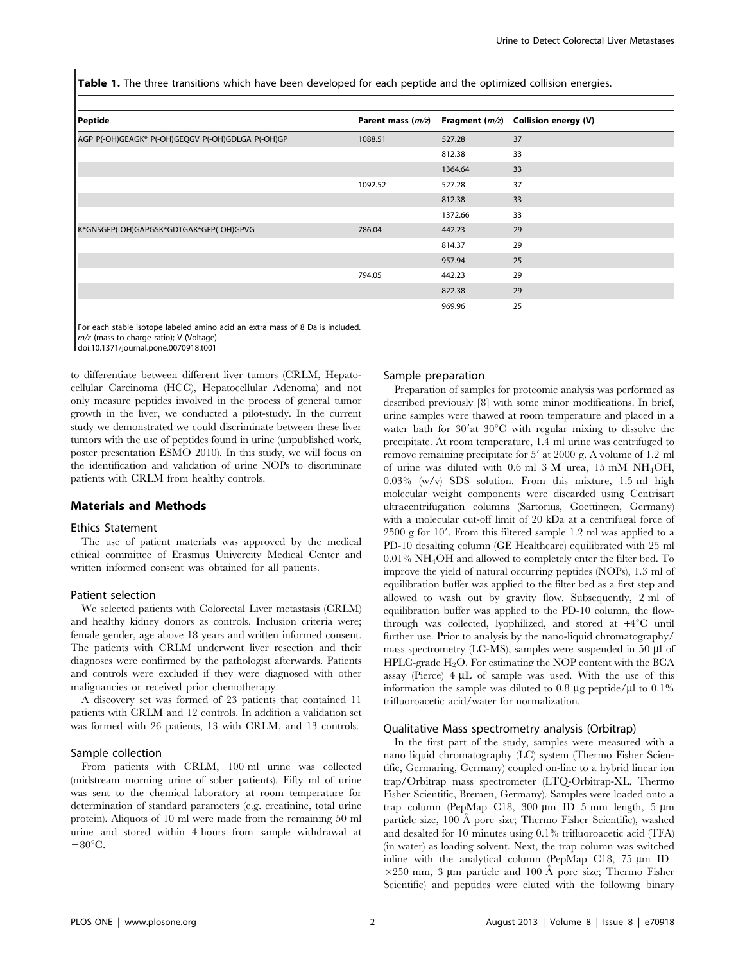Table 1. The three transitions which have been developed for each peptide and the optimized collision energies.

| Peptide                                           | Parent mass $(m/z)$ | Fragment ( <i>m/z</i> ) | <b>Collision energy (V)</b> |
|---------------------------------------------------|---------------------|-------------------------|-----------------------------|
| AGP P(-OH)GEAGK* P(-OH)GEQGV P(-OH)GDLGA P(-OH)GP | 1088.51             | 527.28                  | 37                          |
|                                                   |                     | 812.38                  | 33                          |
|                                                   |                     | 1364.64                 | 33                          |
|                                                   | 1092.52             | 527.28                  | 37                          |
|                                                   |                     | 812.38                  | 33                          |
|                                                   |                     | 1372.66                 | 33                          |
| K*GNSGEP(-OH)GAPGSK*GDTGAK*GEP(-OH)GPVG           | 786.04              | 442.23                  | 29                          |
|                                                   |                     | 814.37                  | 29                          |
|                                                   |                     | 957.94                  | 25                          |
|                                                   | 794.05              | 442.23                  | 29                          |
|                                                   |                     | 822.38                  | 29                          |
|                                                   |                     | 969.96                  | 25                          |

For each stable isotope labeled amino acid an extra mass of 8 Da is included. m/z (mass-to-charge ratio); V (Voltage).

doi:10.1371/journal.pone.0070918.t001

to differentiate between different liver tumors (CRLM, Hepatocellular Carcinoma (HCC), Hepatocellular Adenoma) and not only measure peptides involved in the process of general tumor growth in the liver, we conducted a pilot-study. In the current study we demonstrated we could discriminate between these liver tumors with the use of peptides found in urine (unpublished work, poster presentation ESMO 2010). In this study, we will focus on the identification and validation of urine NOPs to discriminate patients with CRLM from healthy controls.

## Materials and Methods

#### Ethics Statement

The use of patient materials was approved by the medical ethical committee of Erasmus Univercity Medical Center and written informed consent was obtained for all patients.

#### Patient selection

We selected patients with Colorectal Liver metastasis (CRLM) and healthy kidney donors as controls. Inclusion criteria were; female gender, age above 18 years and written informed consent. The patients with CRLM underwent liver resection and their diagnoses were confirmed by the pathologist afterwards. Patients and controls were excluded if they were diagnosed with other malignancies or received prior chemotherapy.

A discovery set was formed of 23 patients that contained 11 patients with CRLM and 12 controls. In addition a validation set was formed with 26 patients, 13 with CRLM, and 13 controls.

## Sample collection

From patients with CRLM, 100 ml urine was collected (midstream morning urine of sober patients). Fifty ml of urine was sent to the chemical laboratory at room temperature for determination of standard parameters (e.g. creatinine, total urine protein). Aliquots of 10 ml were made from the remaining 50 ml urine and stored within 4 hours from sample withdrawal at  $-80^{\circ}$ C.

#### Sample preparation

Preparation of samples for proteomic analysis was performed as described previously [8] with some minor modifications. In brief, urine samples were thawed at room temperature and placed in a water bath for  $30'$ at  $30^{\circ}$ C with regular mixing to dissolve the precipitate. At room temperature, 1.4 ml urine was centrifuged to remove remaining precipitate for  $5'$  at 2000 g. A volume of 1.2 ml of urine was diluted with 0.6 ml 3 M urea, 15 mM NH4OH, 0.03% (w/v) SDS solution. From this mixture, 1.5 ml high molecular weight components were discarded using Centrisart ultracentrifugation columns (Sartorius, Goettingen, Germany) with a molecular cut-off limit of 20 kDa at a centrifugal force of  $2500$  g for  $10'$ . From this filtered sample 1.2 ml was applied to a PD-10 desalting column (GE Healthcare) equilibrated with 25 ml 0.01% NH4OH and allowed to completely enter the filter bed. To improve the yield of natural occurring peptides (NOPs), 1.3 ml of equilibration buffer was applied to the filter bed as a first step and allowed to wash out by gravity flow. Subsequently, 2 ml of equilibration buffer was applied to the PD-10 column, the flowthrough was collected, lyophilized, and stored at  $+4^{\circ}C$  until further use. Prior to analysis by the nano-liquid chromatography/ mass spectrometry (LC-MS), samples were suspended in 50  $\mu$ l of HPLC-grade  $H_2O$ . For estimating the NOP content with the BCA assay (Pierce)  $4 \mu L$  of sample was used. With the use of this information the sample was diluted to 0.8  $\mu$ g peptide/ $\mu$ l to 0.1% trifluoroacetic acid/water for normalization.

## Qualitative Mass spectrometry analysis (Orbitrap)

In the first part of the study, samples were measured with a nano liquid chromatography (LC) system (Thermo Fisher Scientific, Germaring, Germany) coupled on-line to a hybrid linear ion trap/Orbitrap mass spectrometer (LTQ-Orbitrap-XL, Thermo Fisher Scientific, Bremen, Germany). Samples were loaded onto a trap column (PepMap C18, 300 µm ID 5 mm length, 5 µm particle size, 100 Å pore size; Thermo Fisher Scientific), washed and desalted for 10 minutes using 0.1% trifluoroacetic acid (TFA) (in water) as loading solvent. Next, the trap column was switched inline with the analytical column (PepMap C18,  $75 \mu m$  ID  $\times$ 250 mm, 3 µm particle and 100 Å pore size; Thermo Fisher Scientific) and peptides were eluted with the following binary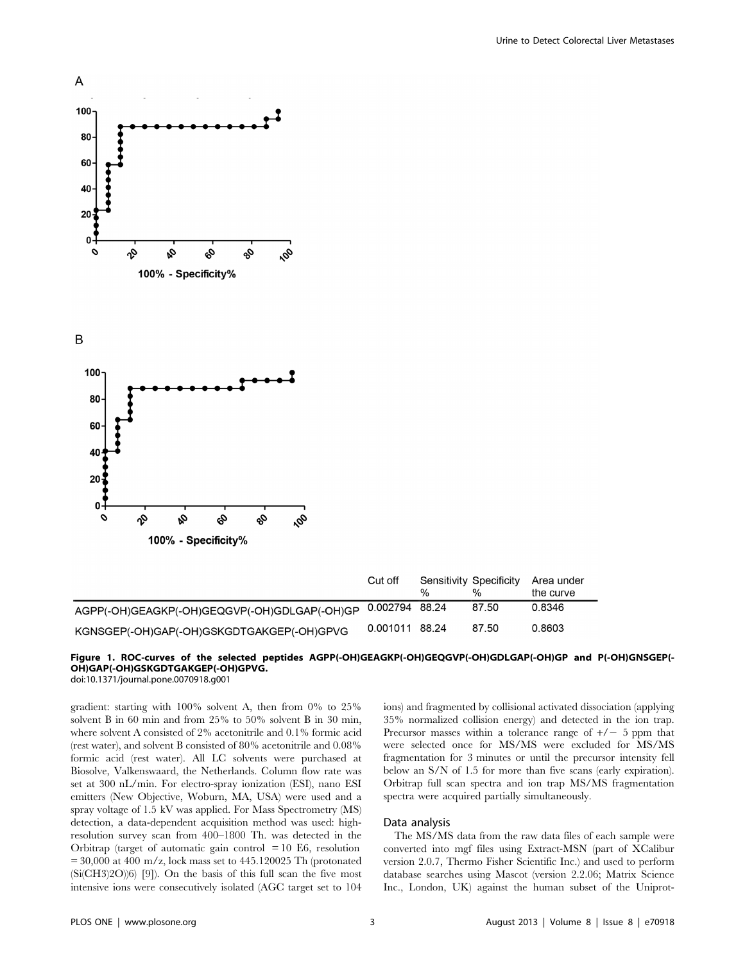

B



|                                                             | Cut off        | % | Sensitivity Specificity<br>% | Area under<br>the curve |
|-------------------------------------------------------------|----------------|---|------------------------------|-------------------------|
| AGPP(-OH)GEAGKP(-OH)GEQGVP(-OH)GDLGAP(-OH)GP 0.002794 88.24 |                |   | 87.50                        | 0.8346                  |
| KGNSGEP(-OH)GAP(-OH)GSKGDTGAKGEP(-OH)GPVG                   | 0.001011 88.24 |   | 87.50                        | 0.8603                  |

## Figure 1. ROC-curves of the selected peptides AGPP(-OH)GEAGKP(-OH)GEQGVP(-OH)GDLGAP(-OH)GP and P(-OH)GNSGEP(- OH)GAP(-OH)GSKGDTGAKGEP(-OH)GPVG.

doi:10.1371/journal.pone.0070918.g001

gradient: starting with 100% solvent A, then from 0% to 25% solvent B in 60 min and from 25% to 50% solvent B in 30 min, where solvent A consisted of 2% acetonitrile and 0.1% formic acid (rest water), and solvent B consisted of 80% acetonitrile and 0.08% formic acid (rest water). All LC solvents were purchased at Biosolve, Valkenswaard, the Netherlands. Column flow rate was set at 300 nL/min. For electro-spray ionization (ESI), nano ESI emitters (New Objective, Woburn, MA, USA) were used and a spray voltage of 1.5 kV was applied. For Mass Spectrometry (MS) detection, a data-dependent acquisition method was used: highresolution survey scan from 400–1800 Th. was detected in the Orbitrap (target of automatic gain control  $= 10$  E6, resolution  $= 30,000$  at 400 m/z, lock mass set to 445.120025 Th (protonated (Si(CH3)2O))6) [9]). On the basis of this full scan the five most intensive ions were consecutively isolated (AGC target set to 104 ions) and fragmented by collisional activated dissociation (applying 35% normalized collision energy) and detected in the ion trap. Precursor masses within a tolerance range of  $+/- 5$  ppm that were selected once for MS/MS were excluded for MS/MS fragmentation for 3 minutes or until the precursor intensity fell below an S/N of 1.5 for more than five scans (early expiration). Orbitrap full scan spectra and ion trap MS/MS fragmentation spectra were acquired partially simultaneously.

## Data analysis

The MS/MS data from the raw data files of each sample were converted into mgf files using Extract-MSN (part of XCalibur version 2.0.7, Thermo Fisher Scientific Inc.) and used to perform database searches using Mascot (version 2.2.06; Matrix Science Inc., London, UK) against the human subset of the Uniprot-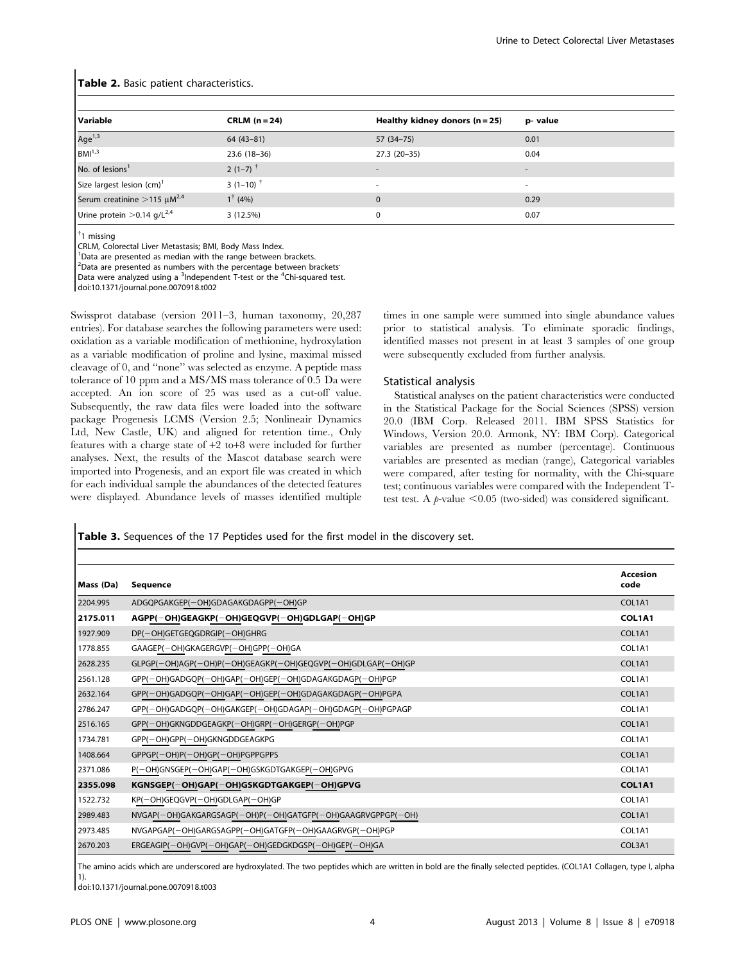| Variable                                        | $CRLM (n=24)$                            | Healthy kidney donors $(n=25)$ | p-value                  |
|-------------------------------------------------|------------------------------------------|--------------------------------|--------------------------|
| Age <sup>1,3</sup>                              | $64(43-81)$                              | 57 (34–75)                     | 0.01                     |
| $BM1^{,3}$                                      | $23.6(18-36)$                            | $27.3(20-35)$                  | 0.04                     |
| No. of lesions <sup>1</sup>                     | $2(1-7)$ <sup>†</sup>                    |                                | $\overline{\phantom{a}}$ |
| Size largest lesion $(cm)^1$                    | 3 (1–10) <sup><math>\dagger</math></sup> |                                | ۰                        |
| Serum creatinine $>$ 115 $\mu$ M <sup>2,4</sup> | $1^{\dagger}$ (4%)                       | $\Omega$                       | 0.29                     |
| Urine protein $>$ 0.14 g/L <sup>2,4</sup>       | 3(12.5%)                                 | 0                              | 0.07                     |

#### Table 2. Basic patient characteristics.

{ 1 missing

CRLM, Colorectal Liver Metastasis; BMI, Body Mass Index.

<sup>1</sup>Data are presented as median with the range between brackets.

<sup>2</sup>Data are presented as numbers with the percentage between brackets'

Data were analyzed using a <sup>3</sup>Independent T-test or the <sup>4</sup>Chi-squared test.

doi:10.1371/journal.pone.0070918.t002

Swissprot database (version 2011–3, human taxonomy, 20,287 entries). For database searches the following parameters were used: oxidation as a variable modification of methionine, hydroxylation as a variable modification of proline and lysine, maximal missed cleavage of 0, and ''none'' was selected as enzyme. A peptide mass tolerance of 10 ppm and a MS/MS mass tolerance of 0.5 Da were accepted. An ion score of 25 was used as a cut-off value. Subsequently, the raw data files were loaded into the software package Progenesis LCMS (Version 2.5; Nonlineair Dynamics Ltd, New Castle, UK) and aligned for retention time., Only features with a charge state of +2 to+8 were included for further analyses. Next, the results of the Mascot database search were imported into Progenesis, and an export file was created in which for each individual sample the abundances of the detected features were displayed. Abundance levels of masses identified multiple times in one sample were summed into single abundance values prior to statistical analysis. To eliminate sporadic findings, identified masses not present in at least 3 samples of one group were subsequently excluded from further analysis.

#### Statistical analysis

Statistical analyses on the patient characteristics were conducted in the Statistical Package for the Social Sciences (SPSS) version 20.0 (IBM Corp. Released 2011. IBM SPSS Statistics for Windows, Version 20.0. Armonk, NY: IBM Corp). Categorical variables are presented as number (percentage). Continuous variables are presented as median (range), Categorical variables were compared, after testing for normality, with the Chi-square test; continuous variables were compared with the Independent Ttest test. A  $p$ -value  $<0.05$  (two-sided) was considered significant.

Table 3. Sequences of the 17 Peptides used for the first model in the discovery set.

| Mass (Da) | <b>Sequence</b>                                             | Accesion<br>code |
|-----------|-------------------------------------------------------------|------------------|
| 2204.995  | ADGQPGAKGEP(-OH)GDAGAKGDAGPP(-OH)GP                         | COL1A1           |
| 2175.011  | AGPP(-OH)GEAGKP(-OH)GEQGVP(-OH)GDLGAP(-OH)GP                | COL1A1           |
| 1927.909  | DP(-OH)GETGEQGDRGIP(-OH)GHRG                                | COL1A1           |
| 1778.855  | GAAGEP(-OH)GKAGERGVP(-OH)GPP(-OH)GA                         | COL1A1           |
| 2628.235  | GLPGP(-OH)AGP(-OH)P(-OH)GEAGKP(-OH)GEQGVP(-OH)GDLGAP(-OH)GP | COL1A1           |
| 2561.128  | GPP(-OH)GADGQP(-OH)GAP(-OH)GEP(-OH)GDAGAKGDAGP(-OH)PGP      | COL1A1           |
| 2632.164  | GPP(-OH)GADGQP(-OH)GAP(-OH)GEP(-OH)GDAGAKGDAGP(-OH)PGPA     | COL1A1           |
| 2786.247  | GPP(-OH)GADGQP(-OH)GAKGEP(-OH)GDAGAP(-OH)GDAGP(-OH)PGPAGP   | COL1A1           |
| 2516.165  | GPP(-OH)GKNGDDGEAGKP(-OH)GRP(-OH)GERGP(-OH)PGP              | COL1A1           |
| 1734.781  | GPP(-OH)GPP(-OH)GKNGDDGEAGKPG                               | COL1A1           |
| 1408.664  | $GPPGP(-OH)P(-OH)GP(-OH)PGPPGPPS$                           | COL1A1           |
| 2371.086  | P(-OH)GNSGEP(-OH)GAP(-OH)GSKGDTGAKGEP(-OH)GPVG              | COL1A1           |
| 2355.098  | KGNSGEP(-OH)GAP(-OH)GSKGDTGAKGEP(-OH)GPVG                   | COL1A1           |
| 1522.732  | KP(-OH)GEQGVP(-OH)GDLGAP(-OH)GP                             | COL1A1           |
| 2989.483  | NVGAP(-OH)GAKGARGSAGP(-OH)P(-OH)GATGFP(-OH)GAAGRVGPPGP(-OH) | COL1A1           |
| 2973.485  | NVGAPGAP(-OH)GARGSAGPP(-OH)GATGFP(-OH)GAAGRVGP(-OH)PGP      | COL1A1           |
| 2670.203  | ERGEAGIP(-OH)GVP(-OH)GAP(-OH)GEDGKDGSP(-OH)GEP(-OH)GA       | COL3A1           |

The amino acids which are underscored are hydroxylated. The two peptides which are written in bold are the finally selected peptides. (COL1A1 Collagen, type I, alpha 1).

doi:10.1371/journal.pone.0070918.t003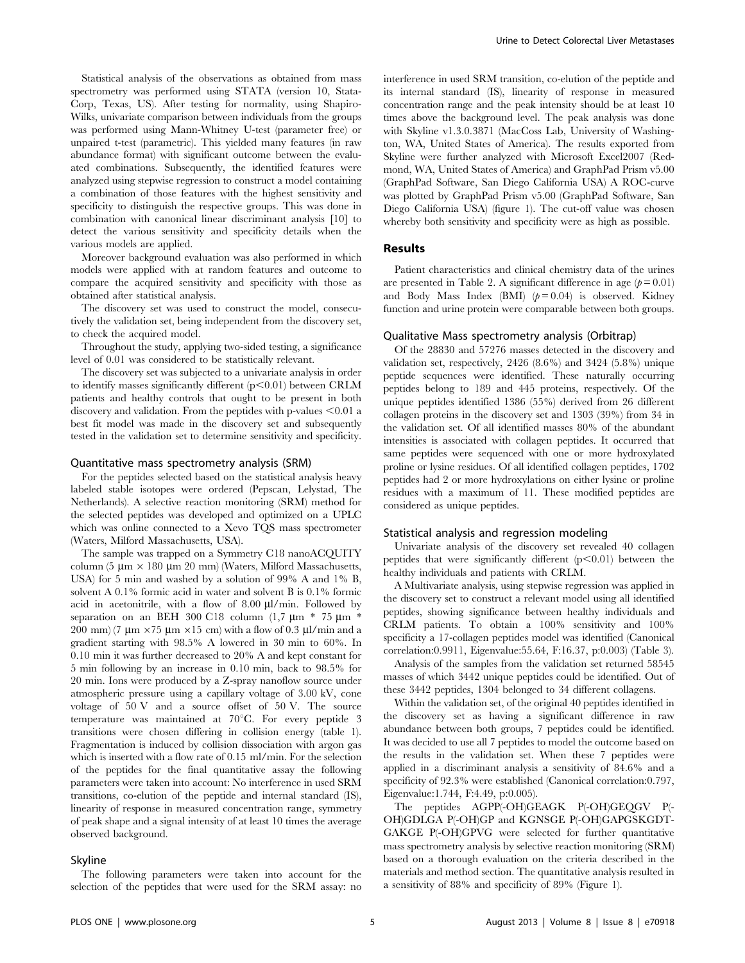Statistical analysis of the observations as obtained from mass spectrometry was performed using STATA (version 10, Stata-Corp, Texas, US). After testing for normality, using Shapiro-Wilks, univariate comparison between individuals from the groups was performed using Mann-Whitney U-test (parameter free) or unpaired t-test (parametric). This yielded many features (in raw abundance format) with significant outcome between the evaluated combinations. Subsequently, the identified features were analyzed using stepwise regression to construct a model containing a combination of those features with the highest sensitivity and specificity to distinguish the respective groups. This was done in combination with canonical linear discriminant analysis [10] to detect the various sensitivity and specificity details when the various models are applied.

Moreover background evaluation was also performed in which models were applied with at random features and outcome to compare the acquired sensitivity and specificity with those as obtained after statistical analysis.

The discovery set was used to construct the model, consecutively the validation set, being independent from the discovery set, to check the acquired model.

Throughout the study, applying two-sided testing, a significance level of 0.01 was considered to be statistically relevant.

The discovery set was subjected to a univariate analysis in order to identify masses significantly different  $(p<0.01)$  between CRLM patients and healthy controls that ought to be present in both discovery and validation. From the peptides with p-values  $\leq 0.01$  a best fit model was made in the discovery set and subsequently tested in the validation set to determine sensitivity and specificity.

#### Quantitative mass spectrometry analysis (SRM)

For the peptides selected based on the statistical analysis heavy labeled stable isotopes were ordered (Pepscan, Lelystad, The Netherlands). A selective reaction monitoring (SRM) method for the selected peptides was developed and optimized on a UPLC which was online connected to a Xevo TQS mass spectrometer (Waters, Milford Massachusetts, USA).

The sample was trapped on a Symmetry C18 nanoACQUITY column (5  $\mu$ m × 180  $\mu$ m 20 mm) (Waters, Milford Massachusetts, USA) for 5 min and washed by a solution of 99% A and 1% B, solvent A 0.1% formic acid in water and solvent B is 0.1% formic acid in acetonitrile, with a flow of  $8.00 \text{ }\mu\text{l/min}$ . Followed by separation on an BEH 300 C18 column (1,7  $\mu$ m \* 75  $\mu$ m \* 200 mm) (7  $\mu$ m ×75  $\mu$ m ×15 cm) with a flow of 0.3  $\mu$ l/min and a gradient starting with 98.5% A lowered in 30 min to 60%. In 0.10 min it was further decreased to 20% A and kept constant for 5 min following by an increase in 0.10 min, back to 98.5% for 20 min. Ions were produced by a Z-spray nanoflow source under atmospheric pressure using a capillary voltage of 3.00 kV, cone voltage of 50 V and a source offset of 50 V. The source temperature was maintained at  $70^{\circ}$ C. For every peptide 3 transitions were chosen differing in collision energy (table 1). Fragmentation is induced by collision dissociation with argon gas which is inserted with a flow rate of 0.15 ml/min. For the selection of the peptides for the final quantitative assay the following parameters were taken into account: No interference in used SRM transitions, co-elution of the peptide and internal standard (IS), linearity of response in measured concentration range, symmetry of peak shape and a signal intensity of at least 10 times the average observed background.

#### Skyline

The following parameters were taken into account for the selection of the peptides that were used for the SRM assay: no interference in used SRM transition, co-elution of the peptide and its internal standard (IS), linearity of response in measured concentration range and the peak intensity should be at least 10 times above the background level. The peak analysis was done with Skyline v1.3.0.3871 (MacCoss Lab, University of Washington, WA, United States of America). The results exported from Skyline were further analyzed with Microsoft Excel2007 (Redmond, WA, United States of America) and GraphPad Prism v5.00 (GraphPad Software, San Diego California USA) A ROC-curve was plotted by GraphPad Prism v5.00 (GraphPad Software, San Diego California USA) (figure 1). The cut-off value was chosen whereby both sensitivity and specificity were as high as possible.

#### Results

Patient characteristics and clinical chemistry data of the urines are presented in Table 2. A significant difference in age  $(p=0.01)$ and Body Mass Index (BMI)  $(p=0.04)$  is observed. Kidney function and urine protein were comparable between both groups.

#### Qualitative Mass spectrometry analysis (Orbitrap)

Of the 28830 and 57276 masses detected in the discovery and validation set, respectively, 2426 (8.6%) and 3424 (5.8%) unique peptide sequences were identified. These naturally occurring peptides belong to 189 and 445 proteins, respectively. Of the unique peptides identified 1386 (55%) derived from 26 different collagen proteins in the discovery set and 1303 (39%) from 34 in the validation set. Of all identified masses 80% of the abundant intensities is associated with collagen peptides. It occurred that same peptides were sequenced with one or more hydroxylated proline or lysine residues. Of all identified collagen peptides, 1702 peptides had 2 or more hydroxylations on either lysine or proline residues with a maximum of 11. These modified peptides are considered as unique peptides.

## Statistical analysis and regression modeling

Univariate analysis of the discovery set revealed 40 collagen peptides that were significantly different  $(p<0.01)$  between the healthy individuals and patients with CRLM.

A Multivariate analysis, using stepwise regression was applied in the discovery set to construct a relevant model using all identified peptides, showing significance between healthy individuals and CRLM patients. To obtain a 100% sensitivity and 100% specificity a 17-collagen peptides model was identified (Canonical correlation:0.9911, Eigenvalue:55.64, F:16.37, p:0.003) (Table 3).

Analysis of the samples from the validation set returned 58545 masses of which 3442 unique peptides could be identified. Out of these 3442 peptides, 1304 belonged to 34 different collagens.

Within the validation set, of the original 40 peptides identified in the discovery set as having a significant difference in raw abundance between both groups, 7 peptides could be identified. It was decided to use all 7 peptides to model the outcome based on the results in the validation set. When these 7 peptides were applied in a discriminant analysis a sensitivity of 84.6% and a specificity of 92.3% were established (Canonical correlation:0.797, Eigenvalue:1.744, F:4.49, p:0.005).

The peptides AGPP(-OH)GEAGK P(-OH)GEQGV P(- OH)GDLGA P(-OH)GP and KGNSGE P(-OH)GAPGSKGDT-GAKGE P(-OH)GPVG were selected for further quantitative mass spectrometry analysis by selective reaction monitoring (SRM) based on a thorough evaluation on the criteria described in the materials and method section. The quantitative analysis resulted in a sensitivity of 88% and specificity of 89% (Figure 1).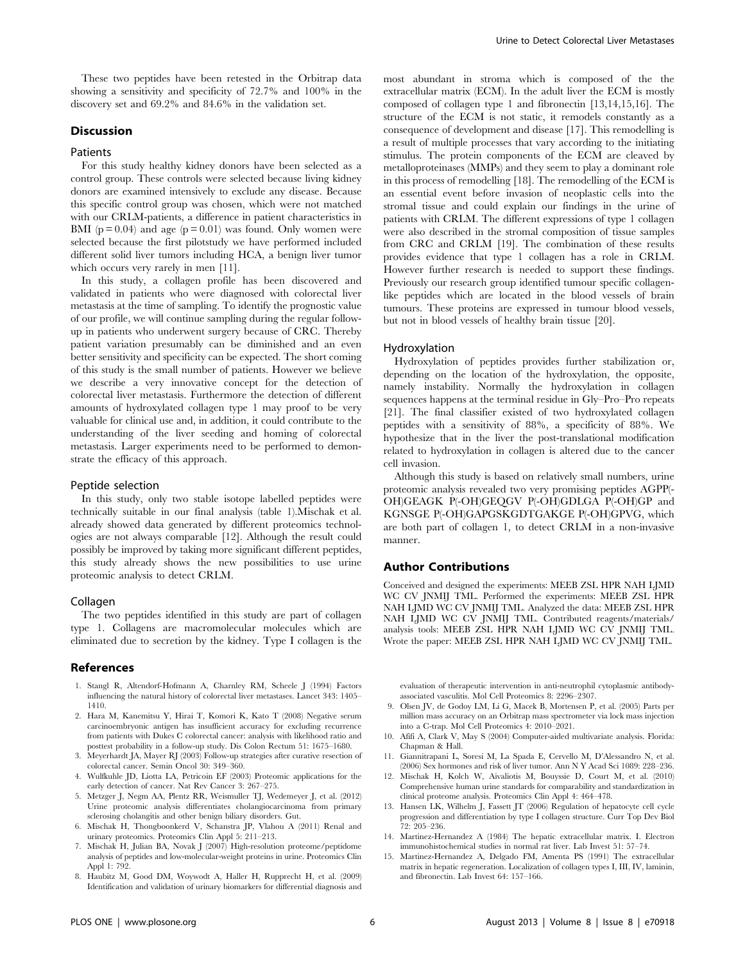These two peptides have been retested in the Orbitrap data showing a sensitivity and specificity of 72.7% and 100% in the discovery set and 69.2% and 84.6% in the validation set.

## Discussion

#### Patients

For this study healthy kidney donors have been selected as a control group. These controls were selected because living kidney donors are examined intensively to exclude any disease. Because this specific control group was chosen, which were not matched with our CRLM-patients, a difference in patient characteristics in BMI ( $p = 0.04$ ) and age ( $p = 0.01$ ) was found. Only women were selected because the first pilotstudy we have performed included different solid liver tumors including HCA, a benign liver tumor which occurs very rarely in men [11].

In this study, a collagen profile has been discovered and validated in patients who were diagnosed with colorectal liver metastasis at the time of sampling. To identify the prognostic value of our profile, we will continue sampling during the regular followup in patients who underwent surgery because of CRC. Thereby patient variation presumably can be diminished and an even better sensitivity and specificity can be expected. The short coming of this study is the small number of patients. However we believe we describe a very innovative concept for the detection of colorectal liver metastasis. Furthermore the detection of different amounts of hydroxylated collagen type 1 may proof to be very valuable for clinical use and, in addition, it could contribute to the understanding of the liver seeding and homing of colorectal metastasis. Larger experiments need to be performed to demonstrate the efficacy of this approach.

#### Peptide selection

In this study, only two stable isotope labelled peptides were technically suitable in our final analysis (table 1).Mischak et al. already showed data generated by different proteomics technologies are not always comparable [12]. Although the result could possibly be improved by taking more significant different peptides, this study already shows the new possibilities to use urine proteomic analysis to detect CRLM.

#### Collagen

The two peptides identified in this study are part of collagen type 1. Collagens are macromolecular molecules which are eliminated due to secretion by the kidney. Type I collagen is the

#### References

- 1. Stangl R, Altendorf-Hofmann A, Charnley RM, Scheele J (1994) Factors influencing the natural history of colorectal liver metastases. Lancet 343: 1405– 1410.
- 2. Hara M, Kanemitsu Y, Hirai T, Komori K, Kato T (2008) Negative serum carcinoembryonic antigen has insufficient accuracy for excluding recurrence from patients with Dukes C colorectal cancer: analysis with likelihood ratio and posttest probability in a follow-up study. Dis Colon Rectum 51: 1675–1680.
- 3. Meyerhardt JA, Mayer RJ (2003) Follow-up strategies after curative resection of colorectal cancer. Semin Oncol 30: 349–360.
- 4. Wulfkuhle JD, Liotta LA, Petricoin EF (2003) Proteomic applications for the early detection of cancer. Nat Rev Cancer 3: 267–275.
- 5. Metzger J, Negm AA, Plentz RR, Weismuller TJ, Wedemeyer J, et al. (2012) Urine proteomic analysis differentiates cholangiocarcinoma from primary sclerosing cholangitis and other benign biliary disorders. Gut.
- 6. Mischak H, Thongboonkerd V, Schanstra JP, Vlahou A (2011) Renal and urinary proteomics. Proteomics Clin Appl 5: 211–213.
- 7. Mischak H, Julian BA, Novak J (2007) High-resolution proteome/peptidome analysis of peptides and low-molecular-weight proteins in urine. Proteomics Clin Appl 1: 792.
- 8. Haubitz M, Good DM, Woywodt A, Haller H, Rupprecht H, et al. (2009) Identification and validation of urinary biomarkers for differential diagnosis and

most abundant in stroma which is composed of the the extracellular matrix (ECM). In the adult liver the ECM is mostly composed of collagen type 1 and fibronectin [13,14,15,16]. The structure of the ECM is not static, it remodels constantly as a consequence of development and disease [17]. This remodelling is a result of multiple processes that vary according to the initiating stimulus. The protein components of the ECM are cleaved by metalloproteinases (MMPs) and they seem to play a dominant role in this process of remodelling [18]. The remodelling of the ECM is an essential event before invasion of neoplastic cells into the stromal tissue and could explain our findings in the urine of patients with CRLM. The different expressions of type 1 collagen were also described in the stromal composition of tissue samples from CRC and CRLM [19]. The combination of these results provides evidence that type 1 collagen has a role in CRLM. However further research is needed to support these findings. Previously our research group identified tumour specific collagenlike peptides which are located in the blood vessels of brain tumours. These proteins are expressed in tumour blood vessels, but not in blood vessels of healthy brain tissue [20].

#### Hydroxylation

Hydroxylation of peptides provides further stabilization or, depending on the location of the hydroxylation, the opposite, namely instability. Normally the hydroxylation in collagen sequences happens at the terminal residue in Gly–Pro–Pro repeats [21]. The final classifier existed of two hydroxylated collagen peptides with a sensitivity of 88%, a specificity of 88%. We hypothesize that in the liver the post-translational modification related to hydroxylation in collagen is altered due to the cancer cell invasion.

Although this study is based on relatively small numbers, urine proteomic analysis revealed two very promising peptides AGPP(- OH)GEAGK P(-OH)GEQGV P(-OH)GDLGA P(-OH)GP and KGNSGE P(-OH)GAPGSKGDTGAKGE P(-OH)GPVG, which are both part of collagen 1, to detect CRLM in a non-invasive manner.

#### Author Contributions

Conceived and designed the experiments: MEEB ZSL HPR NAH LJMD WC CV JNMIJ TML. Performed the experiments: MEEB ZSL HPR NAH LJMD WC CV JNMIJ TML. Analyzed the data: MEEB ZSL HPR NAH LJMD WC CV JNMIJ TML. Contributed reagents/materials/ analysis tools: MEEB ZSL HPR NAH LJMD WC CV JNMIJ TML. Wrote the paper: MEEB ZSL HPR NAH LJMD WC CV JNMIJ TML.

evaluation of therapeutic intervention in anti-neutrophil cytoplasmic antibodyassociated vasculitis. Mol Cell Proteomics 8: 2296–2307.

- 9. Olsen JV, de Godoy LM, Li G, Macek B, Mortensen P, et al. (2005) Parts per million mass accuracy on an Orbitrap mass spectrometer via lock mass injection into a C-trap. Mol Cell Proteomics 4: 2010–2021.
- 10. Afifi A, Clark V, May S (2004) Computer-aided multivariate analysis. Florida: Chapman & Hall.
- 11. Giannitrapani L, Soresi M, La Spada E, Cervello M, D'Alessandro N, et al. (2006) Sex hormones and risk of liver tumor. Ann N Y Acad Sci 1089: 228–236.
- 12. Mischak H, Kolch W, Aivaliotis M, Bouyssie D, Court M, et al. (2010) Comprehensive human urine standards for comparability and standardization in clinical proteome analysis. Proteomics Clin Appl 4: 464–478.
- 13. Hansen LK, Wilhelm J, Fassett JT (2006) Regulation of hepatocyte cell cycle progression and differentiation by type I collagen structure. Curr Top Dev Biol  $72.205 - 236$
- 14. Martinez-Hernandez A (1984) The hepatic extracellular matrix. I. Electron immunohistochemical studies in normal rat liver. Lab Invest 51: 57–74.
- 15. Martinez-Hernandez A, Delgado FM, Amenta PS (1991) The extracellular matrix in hepatic regeneration. Localization of collagen types I, III, IV, laminin, and fibronectin. Lab Invest 64: 157–166.